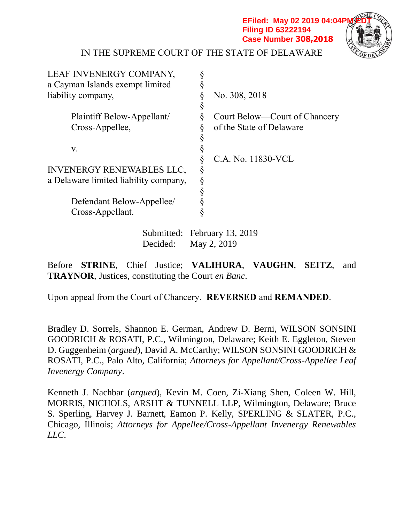**EFiled: May 02 2019 04:04PM Filing ID 63222194 Case Number 308,2018**



## IN THE SUPREME COURT OF THE STATE OF DELAWARE

| LEAF INVENERGY COMPANY,               |   |                               |
|---------------------------------------|---|-------------------------------|
| a Cayman Islands exempt limited       |   |                               |
| liability company,                    |   | No. 308, 2018                 |
|                                       | Ş |                               |
| Plaintiff Below-Appellant/            | § | Court Below—Court of Chancery |
| Cross-Appellee,                       |   | of the State of Delaware      |
|                                       |   |                               |
| V.                                    |   |                               |
|                                       |   | C.A. No. 11830-VCL            |
| <b>INVENERGY RENEWABLES LLC,</b>      | Ş |                               |
| a Delaware limited liability company, |   |                               |
|                                       |   |                               |
| Defendant Below-Appellee/             |   |                               |
| Cross-Appellant.                      |   |                               |
|                                       |   |                               |

Submitted: February 13, 2019 Decided: May 2, 2019

Before **STRINE**, Chief Justice; **VALIHURA**, **VAUGHN**, **SEITZ**, and **TRAYNOR**, Justices, constituting the Court *en Banc*.

Upon appeal from the Court of Chancery. **REVERSED** and **REMANDED**.

Bradley D. Sorrels, Shannon E. German, Andrew D. Berni, WILSON SONSINI GOODRICH & ROSATI, P.C., Wilmington, Delaware; Keith E. Eggleton, Steven D. Guggenheim (*argued*), David A. McCarthy; WILSON SONSINI GOODRICH & ROSATI, P.C., Palo Alto, California; *Attorneys for Appellant/Cross-Appellee Leaf Invenergy Company*.

Kenneth J. Nachbar (*argued*), Kevin M. Coen, Zi-Xiang Shen, Coleen W. Hill, MORRIS, NICHOLS, ARSHT & TUNNELL LLP, Wilmington, Delaware; Bruce S. Sperling, Harvey J. Barnett, Eamon P. Kelly, SPERLING & SLATER, P.C., Chicago, Illinois; *Attorneys for Appellee/Cross-Appellant Invenergy Renewables LLC*.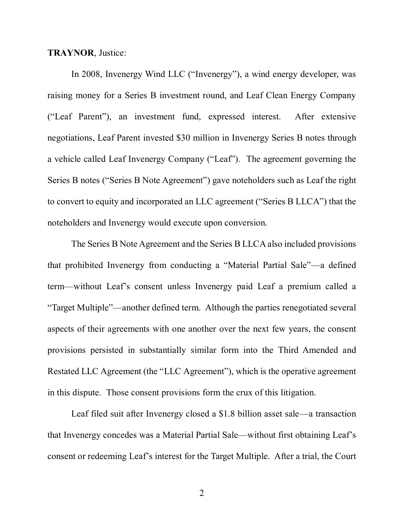### **TRAYNOR**, Justice:

In 2008, Invenergy Wind LLC ("Invenergy"), a wind energy developer, was raising money for a Series B investment round, and Leaf Clean Energy Company ("Leaf Parent"), an investment fund, expressed interest. After extensive negotiations, Leaf Parent invested \$30 million in Invenergy Series B notes through a vehicle called Leaf Invenergy Company ("Leaf"). The agreement governing the Series B notes ("Series B Note Agreement") gave noteholders such as Leaf the right to convert to equity and incorporated an LLC agreement ("Series B LLCA") that the noteholders and Invenergy would execute upon conversion.

The Series B Note Agreement and the Series B LLCA also included provisions that prohibited Invenergy from conducting a "Material Partial Sale"—a defined term—without Leaf's consent unless Invenergy paid Leaf a premium called a "Target Multiple"—another defined term. Although the parties renegotiated several aspects of their agreements with one another over the next few years, the consent provisions persisted in substantially similar form into the Third Amended and Restated LLC Agreement (the "LLC Agreement"), which is the operative agreement in this dispute. Those consent provisions form the crux of this litigation.

Leaf filed suit after Invenergy closed a \$1.8 billion asset sale—a transaction that Invenergy concedes was a Material Partial Sale—without first obtaining Leaf's consent or redeeming Leaf's interest for the Target Multiple. After a trial, the Court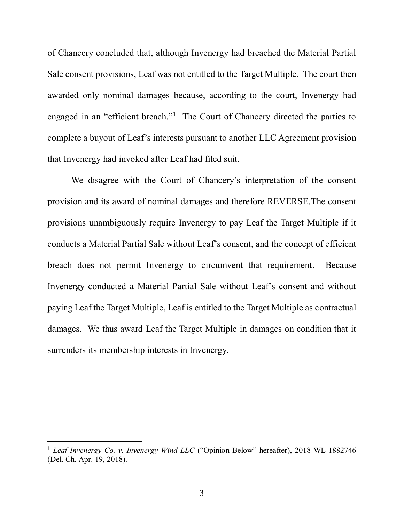of Chancery concluded that, although Invenergy had breached the Material Partial Sale consent provisions, Leaf was not entitled to the Target Multiple. The court then awarded only nominal damages because, according to the court, Invenergy had engaged in an "efficient breach."<sup>1</sup> The Court of Chancery directed the parties to complete a buyout of Leaf's interests pursuant to another LLC Agreement provision that Invenergy had invoked after Leaf had filed suit.

We disagree with the Court of Chancery's interpretation of the consent provision and its award of nominal damages and therefore REVERSE.The consent provisions unambiguously require Invenergy to pay Leaf the Target Multiple if it conducts a Material Partial Sale without Leaf's consent, and the concept of efficient breach does not permit Invenergy to circumvent that requirement. Because Invenergy conducted a Material Partial Sale without Leaf's consent and without paying Leaf the Target Multiple, Leaf is entitled to the Target Multiple as contractual damages. We thus award Leaf the Target Multiple in damages on condition that it surrenders its membership interests in Invenergy.

<sup>&</sup>lt;sup>1</sup> *Leaf Invenergy Co. v. Invenergy Wind LLC* ("Opinion Below" hereafter), 2018 WL 1882746 (Del. Ch. Apr. 19, 2018).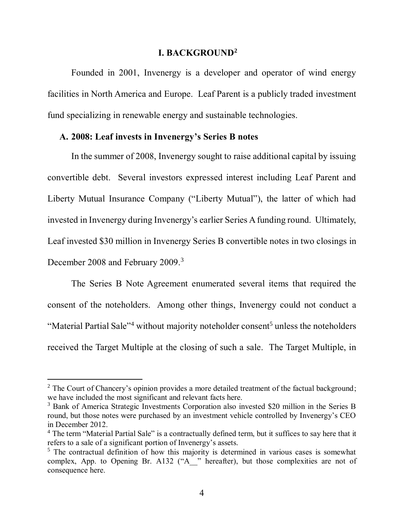### **I. BACKGROUND<sup>2</sup>**

Founded in 2001, Invenergy is a developer and operator of wind energy facilities in North America and Europe. Leaf Parent is a publicly traded investment fund specializing in renewable energy and sustainable technologies.

### **A. 2008: Leaf invests in Invenergy's Series B notes**

In the summer of 2008, Invenergy sought to raise additional capital by issuing convertible debt. Several investors expressed interest including Leaf Parent and Liberty Mutual Insurance Company ("Liberty Mutual"), the latter of which had invested in Invenergy during Invenergy's earlier Series A funding round. Ultimately, Leaf invested \$30 million in Invenergy Series B convertible notes in two closings in December 2008 and February 2009.<sup>3</sup>

The Series B Note Agreement enumerated several items that required the consent of the noteholders. Among other things, Invenergy could not conduct a "Material Partial Sale"<sup>4</sup> without majority noteholder consent<sup>5</sup> unless the noteholders received the Target Multiple at the closing of such a sale. The Target Multiple, in

 $2$  The Court of Chancery's opinion provides a more detailed treatment of the factual background; we have included the most significant and relevant facts here.

<sup>3</sup> Bank of America Strategic Investments Corporation also invested \$20 million in the Series B round, but those notes were purchased by an investment vehicle controlled by Invenergy's CEO in December 2012.

<sup>&</sup>lt;sup>4</sup> The term "Material Partial Sale" is a contractually defined term, but it suffices to say here that it refers to a sale of a significant portion of Invenergy's assets.

<sup>&</sup>lt;sup>5</sup> The contractual definition of how this majority is determined in various cases is somewhat complex, App. to Opening Br. A132 ("A<sup>"</sup> " hereafter), but those complexities are not of consequence here.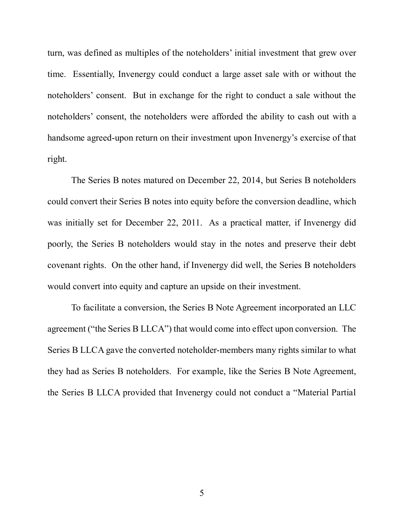turn, was defined as multiples of the noteholders' initial investment that grew over time. Essentially, Invenergy could conduct a large asset sale with or without the noteholders' consent. But in exchange for the right to conduct a sale without the noteholders' consent, the noteholders were afforded the ability to cash out with a handsome agreed-upon return on their investment upon Invenergy's exercise of that right.

The Series B notes matured on December 22, 2014, but Series B noteholders could convert their Series B notes into equity before the conversion deadline, which was initially set for December 22, 2011. As a practical matter, if Invenergy did poorly, the Series B noteholders would stay in the notes and preserve their debt covenant rights. On the other hand, if Invenergy did well, the Series B noteholders would convert into equity and capture an upside on their investment.

To facilitate a conversion, the Series B Note Agreement incorporated an LLC agreement ("the Series B LLCA") that would come into effect upon conversion. The Series B LLCA gave the converted noteholder-members many rights similar to what they had as Series B noteholders. For example, like the Series B Note Agreement, the Series B LLCA provided that Invenergy could not conduct a "Material Partial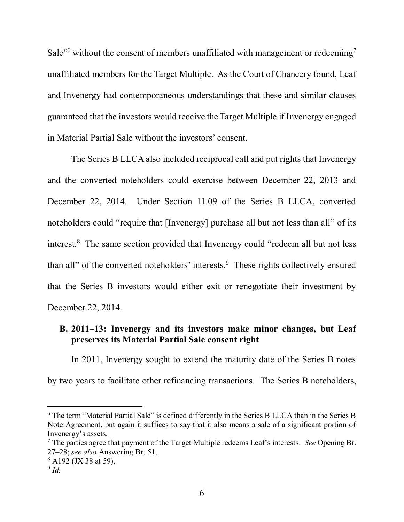Sale"<sup>6</sup> without the consent of members unaffiliated with management or redeeming<sup>7</sup> unaffiliated members for the Target Multiple. As the Court of Chancery found, Leaf and Invenergy had contemporaneous understandings that these and similar clauses guaranteed that the investors would receive the Target Multiple if Invenergy engaged in Material Partial Sale without the investors' consent.

The Series B LLCA also included reciprocal call and put rights that Invenergy and the converted noteholders could exercise between December 22, 2013 and December 22, 2014. Under Section 11.09 of the Series B LLCA, converted noteholders could "require that [Invenergy] purchase all but not less than all" of its interest.<sup>8</sup> The same section provided that Invenergy could "redeem all but not less than all" of the converted noteholders' interests.<sup>9</sup> These rights collectively ensured that the Series B investors would either exit or renegotiate their investment by December 22, 2014.

# **B. 2011–13: Invenergy and its investors make minor changes, but Leaf preserves its Material Partial Sale consent right**

In 2011, Invenergy sought to extend the maturity date of the Series B notes by two years to facilitate other refinancing transactions. The Series B noteholders,

<sup>6</sup> The term "Material Partial Sale" is defined differently in the Series B LLCA than in the Series B Note Agreement, but again it suffices to say that it also means a sale of a significant portion of Invenergy's assets.

<sup>7</sup> The parties agree that payment of the Target Multiple redeems Leaf's interests. *See* Opening Br. 27–28; *see also* Answering Br. 51.

<sup>8</sup> A192 (JX 38 at 59).

<sup>9</sup> *Id.*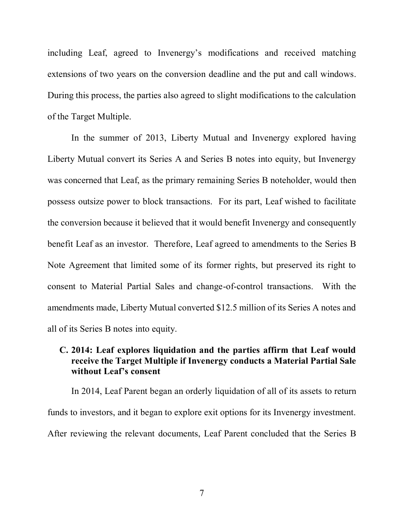including Leaf, agreed to Invenergy's modifications and received matching extensions of two years on the conversion deadline and the put and call windows. During this process, the parties also agreed to slight modifications to the calculation of the Target Multiple.

In the summer of 2013, Liberty Mutual and Invenergy explored having Liberty Mutual convert its Series A and Series B notes into equity, but Invenergy was concerned that Leaf, as the primary remaining Series B noteholder, would then possess outsize power to block transactions. For its part, Leaf wished to facilitate the conversion because it believed that it would benefit Invenergy and consequently benefit Leaf as an investor. Therefore, Leaf agreed to amendments to the Series B Note Agreement that limited some of its former rights, but preserved its right to consent to Material Partial Sales and change-of-control transactions. With the amendments made, Liberty Mutual converted \$12.5 million of its Series A notes and all of its Series B notes into equity.

## **C. 2014: Leaf explores liquidation and the parties affirm that Leaf would receive the Target Multiple if Invenergy conducts a Material Partial Sale without Leaf's consent**

In 2014, Leaf Parent began an orderly liquidation of all of its assets to return funds to investors, and it began to explore exit options for its Invenergy investment. After reviewing the relevant documents, Leaf Parent concluded that the Series B

7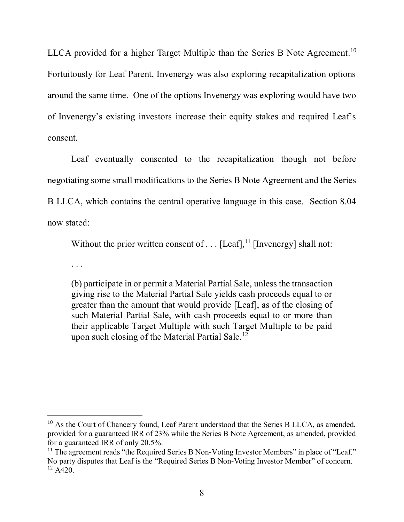LLCA provided for a higher Target Multiple than the Series B Note Agreement.<sup>10</sup> Fortuitously for Leaf Parent, Invenergy was also exploring recapitalization options around the same time. One of the options Invenergy was exploring would have two of Invenergy's existing investors increase their equity stakes and required Leaf's consent.

Leaf eventually consented to the recapitalization though not before negotiating some small modifications to the Series B Note Agreement and the Series B LLCA, which contains the central operative language in this case. Section 8.04 now stated:

Without the prior written consent of  $\dots$  [Leaf], <sup>11</sup> [Invenergy] shall not:

. . .

 $\overline{a}$ 

(b) participate in or permit a Material Partial Sale, unless the transaction giving rise to the Material Partial Sale yields cash proceeds equal to or greater than the amount that would provide [Leaf], as of the closing of such Material Partial Sale, with cash proceeds equal to or more than their applicable Target Multiple with such Target Multiple to be paid upon such closing of the Material Partial Sale.<sup>12</sup>

<sup>&</sup>lt;sup>10</sup> As the Court of Chancery found, Leaf Parent understood that the Series B LLCA, as amended, provided for a guaranteed IRR of 23% while the Series B Note Agreement, as amended, provided for a guaranteed IRR of only 20.5%.

 $11$  The agreement reads "the Required Series B Non-Voting Investor Members" in place of "Leaf." No party disputes that Leaf is the "Required Series B Non-Voting Investor Member" of concern.  $12 \overline{A420}$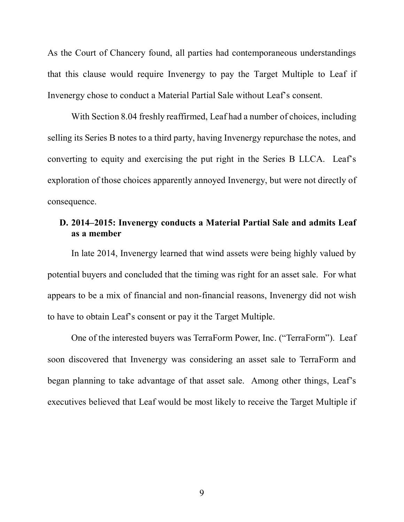As the Court of Chancery found, all parties had contemporaneous understandings that this clause would require Invenergy to pay the Target Multiple to Leaf if Invenergy chose to conduct a Material Partial Sale without Leaf's consent.

With Section 8.04 freshly reaffirmed, Leaf had a number of choices, including selling its Series B notes to a third party, having Invenergy repurchase the notes, and converting to equity and exercising the put right in the Series B LLCA. Leaf's exploration of those choices apparently annoyed Invenergy, but were not directly of consequence.

# **D. 2014–2015: Invenergy conducts a Material Partial Sale and admits Leaf as a member**

In late 2014, Invenergy learned that wind assets were being highly valued by potential buyers and concluded that the timing was right for an asset sale. For what appears to be a mix of financial and non-financial reasons, Invenergy did not wish to have to obtain Leaf's consent or pay it the Target Multiple.

One of the interested buyers was TerraForm Power, Inc. ("TerraForm"). Leaf soon discovered that Invenergy was considering an asset sale to TerraForm and began planning to take advantage of that asset sale. Among other things, Leaf's executives believed that Leaf would be most likely to receive the Target Multiple if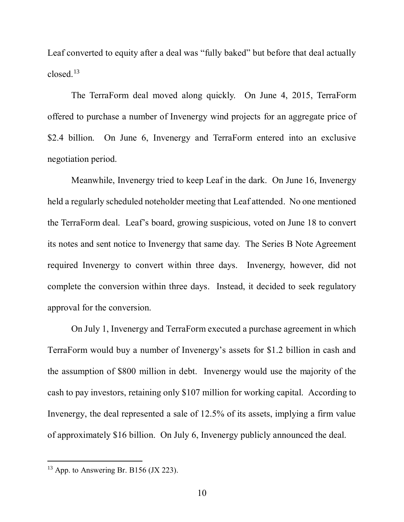Leaf converted to equity after a deal was "fully baked" but before that deal actually closed.<sup>13</sup>

The TerraForm deal moved along quickly. On June 4, 2015, TerraForm offered to purchase a number of Invenergy wind projects for an aggregate price of \$2.4 billion. On June 6, Invenergy and TerraForm entered into an exclusive negotiation period.

Meanwhile, Invenergy tried to keep Leaf in the dark. On June 16, Invenergy held a regularly scheduled noteholder meeting that Leaf attended. No one mentioned the TerraForm deal. Leaf's board, growing suspicious, voted on June 18 to convert its notes and sent notice to Invenergy that same day. The Series B Note Agreement required Invenergy to convert within three days. Invenergy, however, did not complete the conversion within three days. Instead, it decided to seek regulatory approval for the conversion.

On July 1, Invenergy and TerraForm executed a purchase agreement in which TerraForm would buy a number of Invenergy's assets for \$1.2 billion in cash and the assumption of \$800 million in debt. Invenergy would use the majority of the cash to pay investors, retaining only \$107 million for working capital. According to Invenergy, the deal represented a sale of 12.5% of its assets, implying a firm value of approximately \$16 billion. On July 6, Invenergy publicly announced the deal.

 $13$  App. to Answering Br. B156 (JX 223).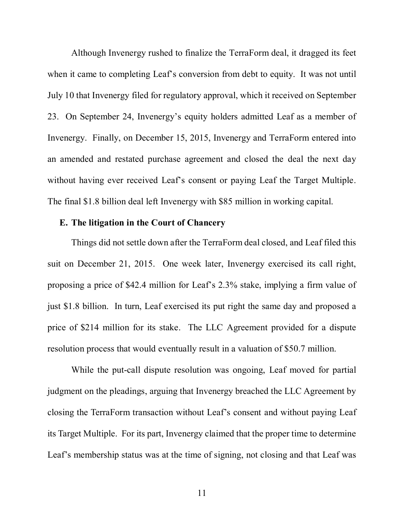Although Invenergy rushed to finalize the TerraForm deal, it dragged its feet when it came to completing Leaf's conversion from debt to equity. It was not until July 10 that Invenergy filed for regulatory approval, which it received on September 23. On September 24, Invenergy's equity holders admitted Leaf as a member of Invenergy. Finally, on December 15, 2015, Invenergy and TerraForm entered into an amended and restated purchase agreement and closed the deal the next day without having ever received Leaf's consent or paying Leaf the Target Multiple. The final \$1.8 billion deal left Invenergy with \$85 million in working capital.

### **E. The litigation in the Court of Chancery**

Things did not settle down after the TerraForm deal closed, and Leaf filed this suit on December 21, 2015. One week later, Invenergy exercised its call right, proposing a price of \$42.4 million for Leaf's 2.3% stake, implying a firm value of just \$1.8 billion. In turn, Leaf exercised its put right the same day and proposed a price of \$214 million for its stake. The LLC Agreement provided for a dispute resolution process that would eventually result in a valuation of \$50.7 million.

While the put-call dispute resolution was ongoing, Leaf moved for partial judgment on the pleadings, arguing that Invenergy breached the LLC Agreement by closing the TerraForm transaction without Leaf's consent and without paying Leaf its Target Multiple. For its part, Invenergy claimed that the proper time to determine Leaf's membership status was at the time of signing, not closing and that Leaf was

11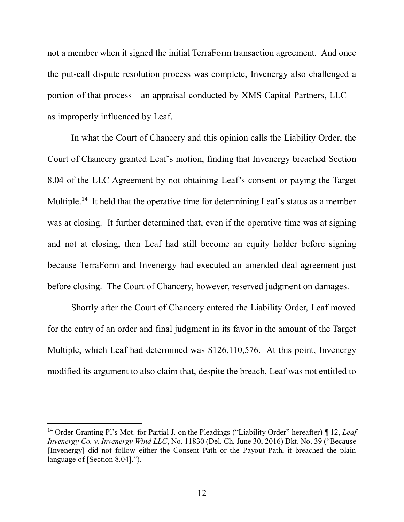not a member when it signed the initial TerraForm transaction agreement. And once the put-call dispute resolution process was complete, Invenergy also challenged a portion of that process—an appraisal conducted by XMS Capital Partners, LLC as improperly influenced by Leaf.

In what the Court of Chancery and this opinion calls the Liability Order, the Court of Chancery granted Leaf's motion, finding that Invenergy breached Section 8.04 of the LLC Agreement by not obtaining Leaf's consent or paying the Target Multiple.<sup>14</sup> It held that the operative time for determining Leaf's status as a member was at closing. It further determined that, even if the operative time was at signing and not at closing, then Leaf had still become an equity holder before signing because TerraForm and Invenergy had executed an amended deal agreement just before closing. The Court of Chancery, however, reserved judgment on damages.

Shortly after the Court of Chancery entered the Liability Order, Leaf moved for the entry of an order and final judgment in its favor in the amount of the Target Multiple, which Leaf had determined was \$126,110,576. At this point, Invenergy modified its argument to also claim that, despite the breach, Leaf was not entitled to

<sup>14</sup> Order Granting Pl's Mot. for Partial J. on the Pleadings ("Liability Order" hereafter) ¶ 12, *Leaf Invenergy Co. v. Invenergy Wind LLC*, No. 11830 (Del. Ch. June 30, 2016) Dkt. No. 39 ("Because [Invenergy] did not follow either the Consent Path or the Payout Path, it breached the plain language of [Section 8.04].").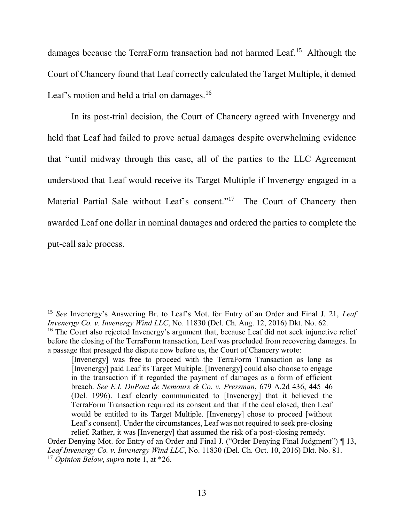damages because the TerraForm transaction had not harmed Leaf.<sup>15</sup> Although the Court of Chancery found that Leaf correctly calculated the Target Multiple, it denied Leaf's motion and held a trial on damages.<sup>16</sup>

In its post-trial decision, the Court of Chancery agreed with Invenergy and held that Leaf had failed to prove actual damages despite overwhelming evidence that "until midway through this case, all of the parties to the LLC Agreement understood that Leaf would receive its Target Multiple if Invenergy engaged in a Material Partial Sale without Leaf's consent."<sup>17</sup> The Court of Chancery then awarded Leaf one dollar in nominal damages and ordered the parties to complete the put-call sale process.

<sup>15</sup> *See* Invenergy's Answering Br. to Leaf's Mot. for Entry of an Order and Final J. 21, *Leaf Invenergy Co. v. Invenergy Wind LLC*, No. 11830 (Del. Ch. Aug. 12, 2016) Dkt. No. 62. <sup>16</sup> The Court also rejected Invenergy's argument that, because Leaf did not seek injunctive relief before the closing of the TerraForm transaction, Leaf was precluded from recovering damages. In

a passage that presaged the dispute now before us, the Court of Chancery wrote: [Invenergy] was free to proceed with the TerraForm Transaction as long as [Invenergy] paid Leaf its Target Multiple. [Invenergy] could also choose to engage in the transaction if it regarded the payment of damages as a form of efficient breach. *See E.I. DuPont de Nemours & Co. v. Pressman*, 679 A.2d 436, 445–46 (Del. 1996). Leaf clearly communicated to [Invenergy] that it believed the TerraForm Transaction required its consent and that if the deal closed, then Leaf would be entitled to its Target Multiple. [Invenergy] chose to proceed [without Leaf's consent]. Under the circumstances, Leaf was not required to seek pre-closing relief. Rather, it was [Invenergy] that assumed the risk of a post-closing remedy.

Order Denying Mot. for Entry of an Order and Final J. ("Order Denying Final Judgment") ¶ 13, *Leaf Invenergy Co. v. Invenergy Wind LLC*, No. 11830 (Del. Ch. Oct. 10, 2016) Dkt. No. 81. <sup>17</sup> *Opinion Below*, *supra* note 1, at \*26.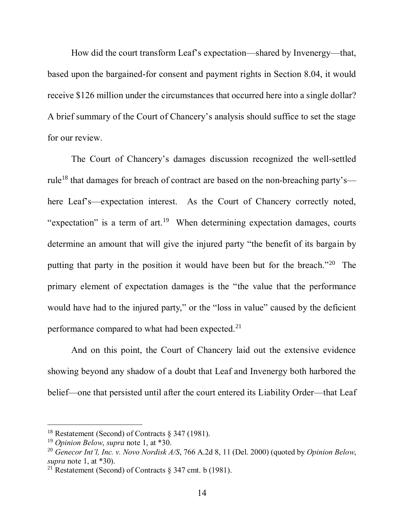How did the court transform Leaf's expectation—shared by Invenergy—that, based upon the bargained-for consent and payment rights in Section 8.04, it would receive \$126 million under the circumstances that occurred here into a single dollar? A brief summary of the Court of Chancery's analysis should suffice to set the stage for our review.

The Court of Chancery's damages discussion recognized the well-settled rule<sup>18</sup> that damages for breach of contract are based on the non-breaching party's here Leaf's—expectation interest. As the Court of Chancery correctly noted, "expectation" is a term of  $art.19$  When determining expectation damages, courts determine an amount that will give the injured party "the benefit of its bargain by putting that party in the position it would have been but for the breach."<sup>20</sup> The primary element of expectation damages is the "the value that the performance would have had to the injured party," or the "loss in value" caused by the deficient performance compared to what had been expected.<sup>21</sup>

And on this point, the Court of Chancery laid out the extensive evidence showing beyond any shadow of a doubt that Leaf and Invenergy both harbored the belief—one that persisted until after the court entered its Liability Order—that Leaf

<sup>&</sup>lt;sup>18</sup> Restatement (Second) of Contracts  $\S$  347 (1981).

<sup>19</sup> *Opinion Below*, *supra* note 1, at \*30.

<sup>20</sup> *Genecor Int'l, Inc. v. Novo Nordisk A/S*, 766 A.2d 8, 11 (Del. 2000) (quoted by *Opinion Below*, *supra* note 1, at \*30).

<sup>&</sup>lt;sup>21</sup> Restatement (Second) of Contracts  $\frac{1}{2}$  347 cmt. b (1981).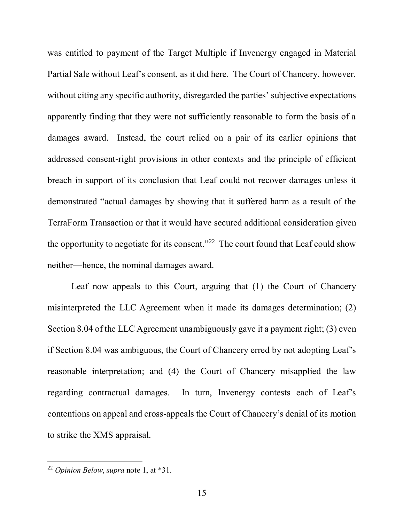was entitled to payment of the Target Multiple if Invenergy engaged in Material Partial Sale without Leaf's consent, as it did here. The Court of Chancery, however, without citing any specific authority, disregarded the parties' subjective expectations apparently finding that they were not sufficiently reasonable to form the basis of a damages award. Instead, the court relied on a pair of its earlier opinions that addressed consent-right provisions in other contexts and the principle of efficient breach in support of its conclusion that Leaf could not recover damages unless it demonstrated "actual damages by showing that it suffered harm as a result of the TerraForm Transaction or that it would have secured additional consideration given the opportunity to negotiate for its consent."<sup>22</sup> The court found that Leaf could show neither—hence, the nominal damages award.

Leaf now appeals to this Court, arguing that (1) the Court of Chancery misinterpreted the LLC Agreement when it made its damages determination; (2) Section 8.04 of the LLC Agreement unambiguously gave it a payment right; (3) even if Section 8.04 was ambiguous, the Court of Chancery erred by not adopting Leaf's reasonable interpretation; and (4) the Court of Chancery misapplied the law regarding contractual damages. In turn, Invenergy contests each of Leaf's contentions on appeal and cross-appeals the Court of Chancery's denial of its motion to strike the XMS appraisal.

<sup>22</sup> *Opinion Below*, *supra* note 1, at \*31.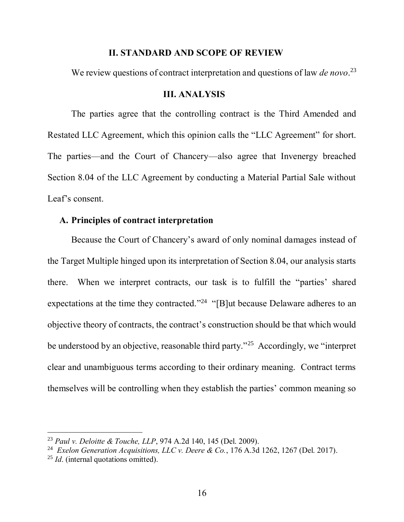#### **II. STANDARD AND SCOPE OF REVIEW**

We review questions of contract interpretation and questions of law *de novo*. 23

#### **III. ANALYSIS**

The parties agree that the controlling contract is the Third Amended and Restated LLC Agreement, which this opinion calls the "LLC Agreement" for short. The parties—and the Court of Chancery—also agree that Invenergy breached Section 8.04 of the LLC Agreement by conducting a Material Partial Sale without Leaf's consent.

### **A. Principles of contract interpretation**

Because the Court of Chancery's award of only nominal damages instead of the Target Multiple hinged upon its interpretation of Section 8.04, our analysis starts there. When we interpret contracts, our task is to fulfill the "parties' shared expectations at the time they contracted.<sup>"24</sup> "[B]ut because Delaware adheres to an objective theory of contracts, the contract's construction should be that which would be understood by an objective, reasonable third party.<sup>25</sup> Accordingly, we "interpret" clear and unambiguous terms according to their ordinary meaning. Contract terms themselves will be controlling when they establish the parties' common meaning so

<sup>23</sup> *Paul v. Deloitte & Touche, LLP*, 974 A.2d 140, 145 (Del. 2009).

<sup>&</sup>lt;sup>24</sup> Exelon Generation Acquisitions, LLC v. Deere & Co., 176 A.3d 1262, 1267 (Del. 2017).

<sup>&</sup>lt;sup>25</sup> *Id.* (internal quotations omitted).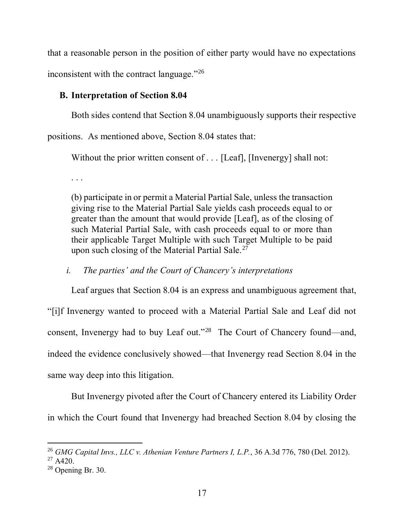that a reasonable person in the position of either party would have no expectations inconsistent with the contract language."<sup>26</sup>

# **B. Interpretation of Section 8.04**

Both sides contend that Section 8.04 unambiguously supports their respective

positions. As mentioned above, Section 8.04 states that:

Without the prior written consent of . . . [Leaf], [Invenergy] shall not:

. . .

(b) participate in or permit a Material Partial Sale, unless the transaction giving rise to the Material Partial Sale yields cash proceeds equal to or greater than the amount that would provide [Leaf], as of the closing of such Material Partial Sale, with cash proceeds equal to or more than their applicable Target Multiple with such Target Multiple to be paid upon such closing of the Material Partial Sale.<sup>27</sup>

*i. The parties' and the Court of Chancery's interpretations*

Leaf argues that Section 8.04 is an express and unambiguous agreement that, "[i]f Invenergy wanted to proceed with a Material Partial Sale and Leaf did not consent, Invenergy had to buy Leaf out."<sup>28</sup> The Court of Chancery found—and, indeed the evidence conclusively showed—that Invenergy read Section 8.04 in the same way deep into this litigation.

But Invenergy pivoted after the Court of Chancery entered its Liability Order in which the Court found that Invenergy had breached Section 8.04 by closing the

l

<sup>26</sup> *GMG Capital Invs., LLC v. Athenian Venture Partners I, L.P.*, 36 A.3d 776, 780 (Del. 2012).

 $27$  A420.

<sup>28</sup> Opening Br. 30.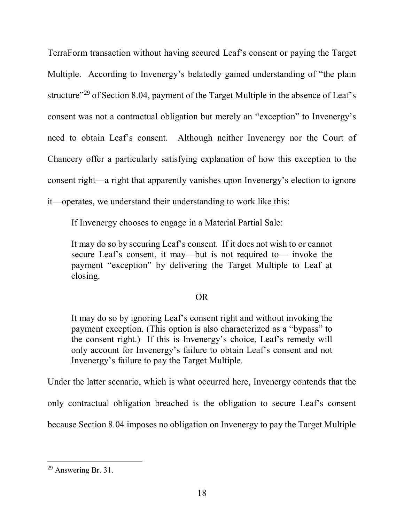TerraForm transaction without having secured Leaf's consent or paying the Target Multiple. According to Invenergy's belatedly gained understanding of "the plain structure<sup>"29</sup> of Section 8.04, payment of the Target Multiple in the absence of Leaf's consent was not a contractual obligation but merely an "exception" to Invenergy's need to obtain Leaf's consent. Although neither Invenergy nor the Court of Chancery offer a particularly satisfying explanation of how this exception to the consent right—a right that apparently vanishes upon Invenergy's election to ignore it—operates, we understand their understanding to work like this:

If Invenergy chooses to engage in a Material Partial Sale:

It may do so by securing Leaf's consent. If it does not wish to or cannot secure Leaf's consent, it may—but is not required to— invoke the payment "exception" by delivering the Target Multiple to Leaf at closing.

### OR

It may do so by ignoring Leaf's consent right and without invoking the payment exception. (This option is also characterized as a "bypass" to the consent right.) If this is Invenergy's choice, Leaf's remedy will only account for Invenergy's failure to obtain Leaf's consent and not Invenergy's failure to pay the Target Multiple.

Under the latter scenario, which is what occurred here, Invenergy contends that the

only contractual obligation breached is the obligation to secure Leaf's consent

because Section 8.04 imposes no obligation on Invenergy to pay the Target Multiple

<sup>&</sup>lt;sup>29</sup> Answering Br. 31.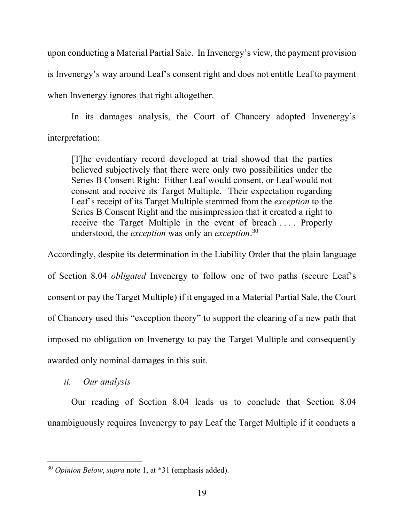upon conducting a Material Partial Sale. In Invenergy's view, the payment provision is Invenergy's way around Leaf's consent right and does not entitle Leaf to payment when Invenergy ignores that right altogether.

In its damages analysis, the Court of Chancery adopted Invenergy's interpretation:

[T]he evidentiary record developed at trial showed that the parties believed subjectively that there were only two possibilities under the Series B Consent Right: Either Leaf would consent, or Leaf would not consent and receive its Target Multiple. Their expectation regarding Leaf's receipt of its Target Multiple stemmed from the *exception* to the Series B Consent Right and the misimpression that it created a right to receive the Target Multiple in the event of breach . . . . Properly understood, the *exception* was only an *exception*. 30

Accordingly, despite its determination in the Liability Order that the plain language of Section 8.04 *obligated* Invenergy to follow one of two paths (secure Leaf's consent or pay the Target Multiple) if it engaged in a Material Partial Sale, the Court of Chancery used this "exception theory" to support the clearing of a new path that imposed no obligation on Invenergy to pay the Target Multiple and consequently awarded only nominal damages in this suit.

*ii. Our analysis*

Our reading of Section 8.04 leads us to conclude that Section 8.04 unambiguously requires Invenergy to pay Leaf the Target Multiple if it conducts a

 $\overline{a}$ <sup>30</sup> *Opinion Below*, *supra* note 1, at \*31 (emphasis added).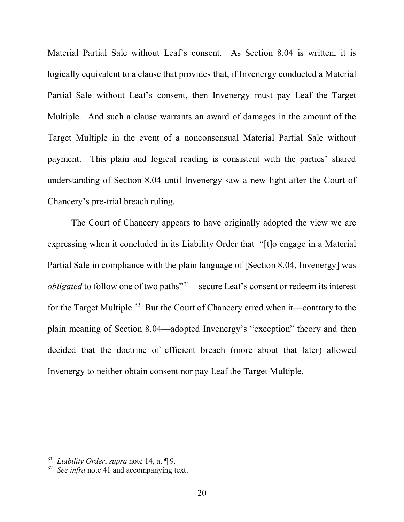Material Partial Sale without Leaf's consent. As Section 8.04 is written, it is logically equivalent to a clause that provides that, if Invenergy conducted a Material Partial Sale without Leaf's consent, then Invenergy must pay Leaf the Target Multiple. And such a clause warrants an award of damages in the amount of the Target Multiple in the event of a nonconsensual Material Partial Sale without payment. This plain and logical reading is consistent with the parties' shared understanding of Section 8.04 until Invenergy saw a new light after the Court of Chancery's pre-trial breach ruling.

The Court of Chancery appears to have originally adopted the view we are expressing when it concluded in its Liability Order that "[t]o engage in a Material Partial Sale in compliance with the plain language of [Section 8.04, Invenergy] was *obligated* to follow one of two paths<sup>"31</sup>—secure Leaf's consent or redeem its interest for the Target Multiple.<sup>32</sup> But the Court of Chancery erred when it—contrary to the plain meaning of Section 8.04—adopted Invenergy's "exception" theory and then decided that the doctrine of efficient breach (more about that later) allowed Invenergy to neither obtain consent nor pay Leaf the Target Multiple.

<sup>31</sup> *Liability Order*, *supra* note 14, at ¶ 9.

<sup>32</sup> *See infra* note 41 and accompanying text.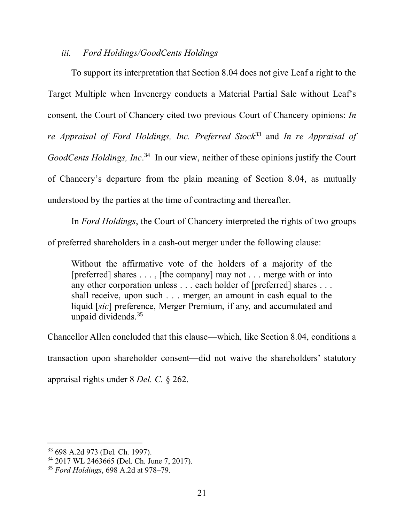## *iii. Ford Holdings/GoodCents Holdings*

To support its interpretation that Section 8.04 does not give Leaf a right to the Target Multiple when Invenergy conducts a Material Partial Sale without Leaf's consent, the Court of Chancery cited two previous Court of Chancery opinions: *In re Appraisal of Ford Holdings, Inc. Preferred Stock*<sup>33</sup> and *In re Appraisal of GoodCents Holdings, Inc*. 34 In our view, neither of these opinions justify the Court of Chancery's departure from the plain meaning of Section 8.04, as mutually understood by the parties at the time of contracting and thereafter.

In *Ford Holdings*, the Court of Chancery interpreted the rights of two groups

of preferred shareholders in a cash-out merger under the following clause:

Without the affirmative vote of the holders of a majority of the [preferred] shares . . . , [the company] may not . . . merge with or into any other corporation unless . . . each holder of [preferred] shares . . . shall receive, upon such . . . merger, an amount in cash equal to the liquid [*sic*] preference, Merger Premium, if any, and accumulated and unpaid dividends.  $35$ 

Chancellor Allen concluded that this clause—which, like Section 8.04, conditions a transaction upon shareholder consent—did not waive the shareholders' statutory appraisal rights under 8 *Del. C.* § 262.

l

<sup>33</sup> 698 A.2d 973 (Del. Ch. 1997).

<sup>34</sup> 2017 WL 2463665 (Del. Ch. June 7, 2017).

<sup>35</sup> *Ford Holdings*, 698 A.2d at 978–79.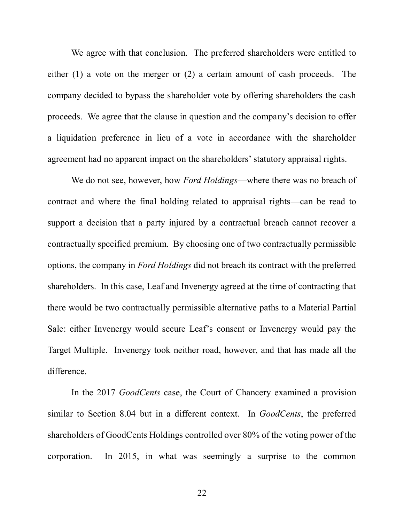We agree with that conclusion. The preferred shareholders were entitled to either (1) a vote on the merger or (2) a certain amount of cash proceeds. The company decided to bypass the shareholder vote by offering shareholders the cash proceeds. We agree that the clause in question and the company's decision to offer a liquidation preference in lieu of a vote in accordance with the shareholder agreement had no apparent impact on the shareholders' statutory appraisal rights.

We do not see, however, how *Ford Holdings*—where there was no breach of contract and where the final holding related to appraisal rights—can be read to support a decision that a party injured by a contractual breach cannot recover a contractually specified premium. By choosing one of two contractually permissible options, the company in *Ford Holdings* did not breach its contract with the preferred shareholders. In this case, Leaf and Invenergy agreed at the time of contracting that there would be two contractually permissible alternative paths to a Material Partial Sale: either Invenergy would secure Leaf's consent or Invenergy would pay the Target Multiple. Invenergy took neither road, however, and that has made all the difference.

In the 2017 *GoodCents* case, the Court of Chancery examined a provision similar to Section 8.04 but in a different context. In *GoodCents*, the preferred shareholders of GoodCents Holdings controlled over 80% of the voting power of the corporation. In 2015, in what was seemingly a surprise to the common

22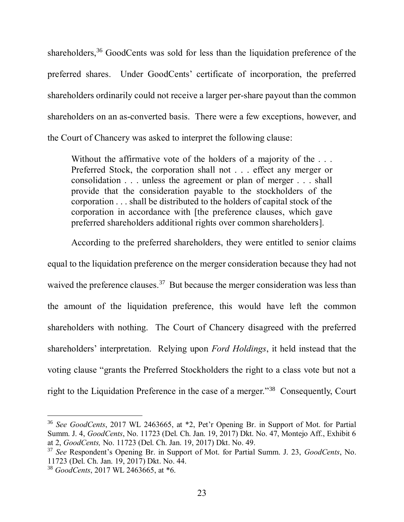shareholders,<sup>36</sup> GoodCents was sold for less than the liquidation preference of the preferred shares. Under GoodCents' certificate of incorporation, the preferred shareholders ordinarily could not receive a larger per-share payout than the common shareholders on an as-converted basis. There were a few exceptions, however, and the Court of Chancery was asked to interpret the following clause:

Without the affirmative vote of the holders of a majority of the ... Preferred Stock, the corporation shall not . . . effect any merger or consolidation . . . unless the agreement or plan of merger . . . shall provide that the consideration payable to the stockholders of the corporation . . . shall be distributed to the holders of capital stock of the corporation in accordance with [the preference clauses, which gave preferred shareholders additional rights over common shareholders].

According to the preferred shareholders, they were entitled to senior claims equal to the liquidation preference on the merger consideration because they had not waived the preference clauses.<sup>37</sup> But because the merger consideration was less than the amount of the liquidation preference, this would have left the common shareholders with nothing. The Court of Chancery disagreed with the preferred shareholders' interpretation. Relying upon *Ford Holdings*, it held instead that the voting clause "grants the Preferred Stockholders the right to a class vote but not a right to the Liquidation Preference in the case of a merger."<sup>38</sup> Consequently, Court

<sup>36</sup> *See GoodCents*, 2017 WL 2463665, at \*2, Pet'r Opening Br. in Support of Mot. for Partial Summ. J. 4, *GoodCents*, No. 11723 (Del. Ch. Jan. 19, 2017) Dkt. No. 47, Montejo Aff., Exhibit 6 at 2, *GoodCents,* No. 11723 (Del. Ch. Jan. 19, 2017) Dkt. No. 49.

<sup>37</sup> *See* Respondent's Opening Br. in Support of Mot. for Partial Summ. J. 23, *GoodCents*, No. 11723 (Del. Ch. Jan. 19, 2017) Dkt. No. 44.

<sup>38</sup> *GoodCents*, 2017 WL 2463665, at \*6.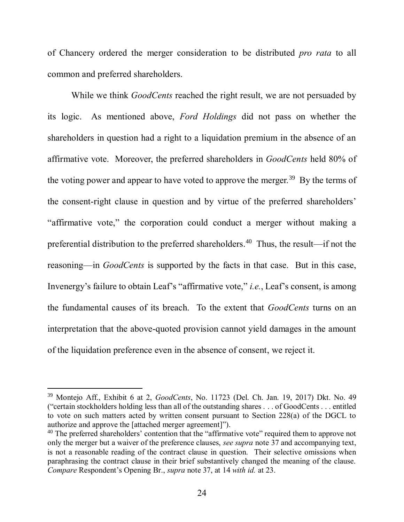of Chancery ordered the merger consideration to be distributed *pro rata* to all common and preferred shareholders.

While we think *GoodCents* reached the right result, we are not persuaded by its logic. As mentioned above, *Ford Holdings* did not pass on whether the shareholders in question had a right to a liquidation premium in the absence of an affirmative vote. Moreover, the preferred shareholders in *GoodCents* held 80% of the voting power and appear to have voted to approve the merger.<sup>39</sup> By the terms of the consent-right clause in question and by virtue of the preferred shareholders' "affirmative vote," the corporation could conduct a merger without making a preferential distribution to the preferred shareholders. <sup>40</sup> Thus, the result—if not the reasoning—in *GoodCents* is supported by the facts in that case. But in this case, Invenergy's failure to obtain Leaf's "affirmative vote," *i.e.*, Leaf's consent, is among the fundamental causes of its breach. To the extent that *GoodCents* turns on an interpretation that the above-quoted provision cannot yield damages in the amount of the liquidation preference even in the absence of consent, we reject it.

<sup>39</sup> Montejo Aff., Exhibit 6 at 2, *GoodCents*, No. 11723 (Del. Ch. Jan. 19, 2017) Dkt. No. 49 ("certain stockholders holding less than all of the outstanding shares . . . of GoodCents . . . entitled to vote on such matters acted by written consent pursuant to Section 228(a) of the DGCL to authorize and approve the [attached merger agreement]").

<sup>&</sup>lt;sup>40</sup> The preferred shareholders' contention that the "affirmative vote" required them to approve not only the merger but a waiver of the preference clauses, *see supra* note 37 and accompanying text, is not a reasonable reading of the contract clause in question. Their selective omissions when paraphrasing the contract clause in their brief substantively changed the meaning of the clause. *Compare* Respondent's Opening Br., *supra* note 37, at 14 *with id.* at 23.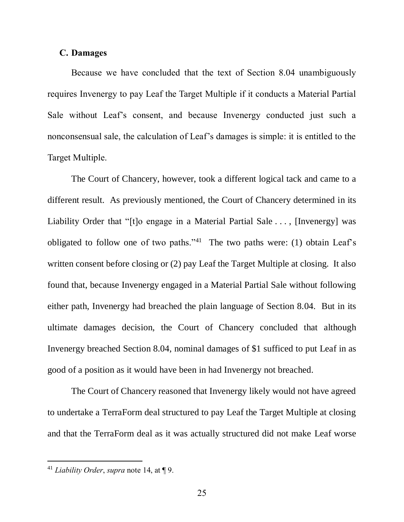#### **C. Damages**

Because we have concluded that the text of Section 8.04 unambiguously requires Invenergy to pay Leaf the Target Multiple if it conducts a Material Partial Sale without Leaf's consent, and because Invenergy conducted just such a nonconsensual sale, the calculation of Leaf's damages is simple: it is entitled to the Target Multiple.

The Court of Chancery, however, took a different logical tack and came to a different result. As previously mentioned, the Court of Chancery determined in its Liability Order that "[t]o engage in a Material Partial Sale . . . , [Invenergy] was obligated to follow one of two paths.<sup> $1$ </sup> The two paths were: (1) obtain Leaf's written consent before closing or (2) pay Leaf the Target Multiple at closing. It also found that, because Invenergy engaged in a Material Partial Sale without following either path, Invenergy had breached the plain language of Section 8.04. But in its ultimate damages decision, the Court of Chancery concluded that although Invenergy breached Section 8.04, nominal damages of \$1 sufficed to put Leaf in as good of a position as it would have been in had Invenergy not breached.

The Court of Chancery reasoned that Invenergy likely would not have agreed to undertake a TerraForm deal structured to pay Leaf the Target Multiple at closing and that the TerraForm deal as it was actually structured did not make Leaf worse

<sup>41</sup> *Liability Order*, *supra* note 14, at ¶ 9.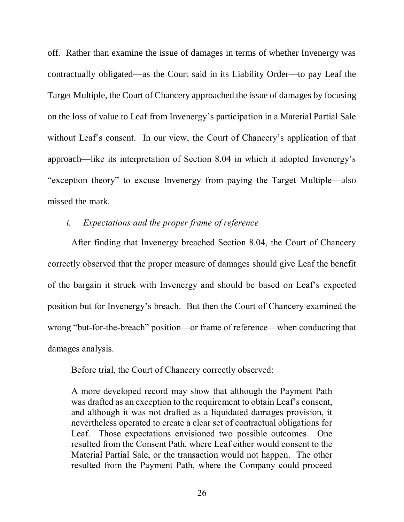off. Rather than examine the issue of damages in terms of whether Invenergy was contractually obligated—as the Court said in its Liability Order—to pay Leaf the Target Multiple, the Court of Chancery approached the issue of damages by focusing on the loss of value to Leaf from Invenergy's participation in a Material Partial Sale without Leaf's consent. In our view, the Court of Chancery's application of that approach—like its interpretation of Section 8.04 in which it adopted Invenergy's "exception theory" to excuse Invenergy from paying the Target Multiple—also missed the mark.

# *i. Expectations and the proper frame of reference*

After finding that Invenergy breached Section 8.04, the Court of Chancery correctly observed that the proper measure of damages should give Leaf the benefit of the bargain it struck with Invenergy and should be based on Leaf's expected position but for Invenergy's breach. But then the Court of Chancery examined the wrong "but-for-the-breach" position—or frame of reference—when conducting that damages analysis.

Before trial, the Court of Chancery correctly observed:

A more developed record may show that although the Payment Path was drafted as an exception to the requirement to obtain Leaf's consent, and although it was not drafted as a liquidated damages provision, it nevertheless operated to create a clear set of contractual obligations for Leaf. Those expectations envisioned two possible outcomes. One resulted from the Consent Path, where Leaf either would consent to the Material Partial Sale, or the transaction would not happen. The other resulted from the Payment Path, where the Company could proceed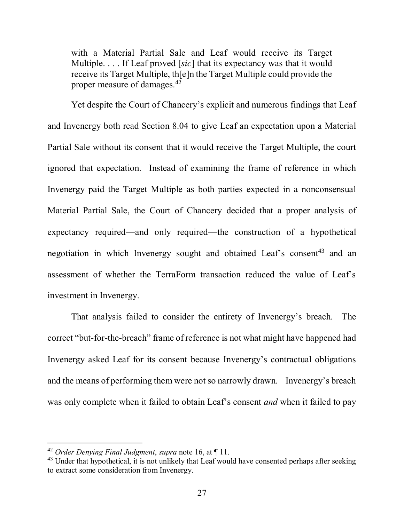with a Material Partial Sale and Leaf would receive its Target Multiple. . . . If Leaf proved [*sic*] that its expectancy was that it would receive its Target Multiple, th[e]n the Target Multiple could provide the proper measure of damages.<sup>42</sup>

Yet despite the Court of Chancery's explicit and numerous findings that Leaf and Invenergy both read Section 8.04 to give Leaf an expectation upon a Material Partial Sale without its consent that it would receive the Target Multiple, the court ignored that expectation. Instead of examining the frame of reference in which Invenergy paid the Target Multiple as both parties expected in a nonconsensual Material Partial Sale, the Court of Chancery decided that a proper analysis of expectancy required—and only required—the construction of a hypothetical negotiation in which Invenergy sought and obtained Leaf's consent<sup>43</sup> and an assessment of whether the TerraForm transaction reduced the value of Leaf's investment in Invenergy.

That analysis failed to consider the entirety of Invenergy's breach. The correct "but-for-the-breach" frame of reference is not what might have happened had Invenergy asked Leaf for its consent because Invenergy's contractual obligations and the means of performing them were not so narrowly drawn. Invenergy's breach was only complete when it failed to obtain Leaf's consent *and* when it failed to pay

l

<sup>42</sup> *Order Denying Final Judgment*, *supra* note 16, at ¶ 11.

<sup>&</sup>lt;sup>43</sup> Under that hypothetical, it is not unlikely that Leaf would have consented perhaps after seeking to extract some consideration from Invenergy.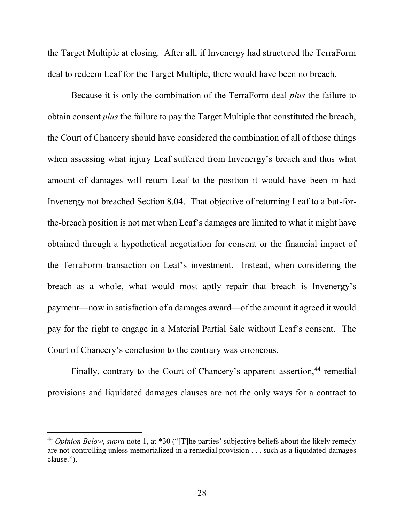the Target Multiple at closing. After all, if Invenergy had structured the TerraForm deal to redeem Leaf for the Target Multiple, there would have been no breach.

Because it is only the combination of the TerraForm deal *plus* the failure to obtain consent *plus* the failure to pay the Target Multiple that constituted the breach, the Court of Chancery should have considered the combination of all of those things when assessing what injury Leaf suffered from Invenergy's breach and thus what amount of damages will return Leaf to the position it would have been in had Invenergy not breached Section 8.04. That objective of returning Leaf to a but-forthe-breach position is not met when Leaf's damages are limited to what it might have obtained through a hypothetical negotiation for consent or the financial impact of the TerraForm transaction on Leaf's investment. Instead, when considering the breach as a whole, what would most aptly repair that breach is Invenergy's payment—now in satisfaction of a damages award—of the amount it agreed it would pay for the right to engage in a Material Partial Sale without Leaf's consent. The Court of Chancery's conclusion to the contrary was erroneous.

Finally, contrary to the Court of Chancery's apparent assertion,<sup>44</sup> remedial provisions and liquidated damages clauses are not the only ways for a contract to

<sup>44</sup> *Opinion Below*, *supra* note 1, at \*30 ("[T]he parties' subjective beliefs about the likely remedy are not controlling unless memorialized in a remedial provision . . . such as a liquidated damages clause.").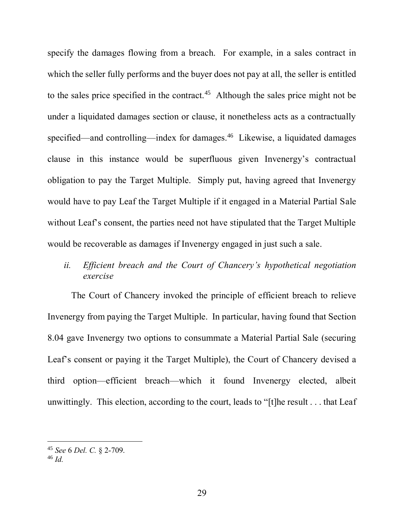specify the damages flowing from a breach. For example, in a sales contract in which the seller fully performs and the buyer does not pay at all, the seller is entitled to the sales price specified in the contract.<sup>45</sup> Although the sales price might not be under a liquidated damages section or clause, it nonetheless acts as a contractually specified—and controlling—index for damages.<sup>46</sup> Likewise, a liquidated damages clause in this instance would be superfluous given Invenergy's contractual obligation to pay the Target Multiple. Simply put, having agreed that Invenergy would have to pay Leaf the Target Multiple if it engaged in a Material Partial Sale without Leaf's consent, the parties need not have stipulated that the Target Multiple would be recoverable as damages if Invenergy engaged in just such a sale.

# *ii. Efficient breach and the Court of Chancery's hypothetical negotiation exercise*

The Court of Chancery invoked the principle of efficient breach to relieve Invenergy from paying the Target Multiple. In particular, having found that Section 8.04 gave Invenergy two options to consummate a Material Partial Sale (securing Leaf's consent or paying it the Target Multiple), the Court of Chancery devised a third option—efficient breach—which it found Invenergy elected, albeit unwittingly. This election, according to the court, leads to "[t]he result . . . that Leaf

<sup>46</sup> *Id.*

<sup>45</sup> *See* 6 *Del. C.* § 2-709.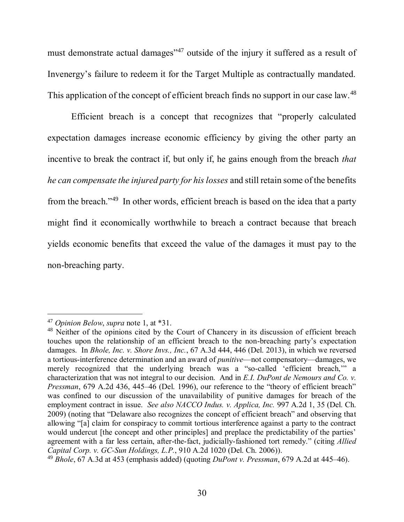must demonstrate actual damages"<sup>47</sup> outside of the injury it suffered as a result of Invenergy's failure to redeem it for the Target Multiple as contractually mandated. This application of the concept of efficient breach finds no support in our case law.<sup>48</sup>

Efficient breach is a concept that recognizes that "properly calculated expectation damages increase economic efficiency by giving the other party an incentive to break the contract if, but only if, he gains enough from the breach *that he can compensate the injured party for his losses* and still retain some of the benefits from the breach."<sup>49</sup> In other words, efficient breach is based on the idea that a party might find it economically worthwhile to breach a contract because that breach yields economic benefits that exceed the value of the damages it must pay to the non-breaching party.

<sup>47</sup> *Opinion Below*, *supra* note 1, at \*31.

<sup>&</sup>lt;sup>48</sup> Neither of the opinions cited by the Court of Chancery in its discussion of efficient breach touches upon the relationship of an efficient breach to the non-breaching party's expectation damages. In *Bhole, Inc. v. Shore Invs., Inc.*, 67 A.3d 444, 446 (Del. 2013), in which we reversed a tortious-interference determination and an award of *punitive*—not compensatory—damages, we merely recognized that the underlying breach was a "so-called 'efficient breach,'" a characterization that was not integral to our decision. And in *E.I. DuPont de Nemours and Co. v. Pressman*, 679 A.2d 436, 445–46 (Del. 1996), our reference to the "theory of efficient breach" was confined to our discussion of the unavailability of punitive damages for breach of the employment contract in issue. *See also NACCO Indus. v. Applica, Inc.* 997 A.2d 1, 35 (Del. Ch. 2009) (noting that "Delaware also recognizes the concept of efficient breach" and observing that allowing "[a] claim for conspiracy to commit tortious interference against a party to the contract would undercut [the concept and other principles] and preplace the predictability of the parties' agreement with a far less certain, after-the-fact, judicially-fashioned tort remedy." (citing *Allied Capital Corp. v. GC-Sun Holdings, L.P.*, 910 A.2d 1020 (Del. Ch. 2006)).

<sup>49</sup> *Bhole*, 67 A.3d at 453 (emphasis added) (quoting *DuPont v. Pressman*, 679 A.2d at 445–46).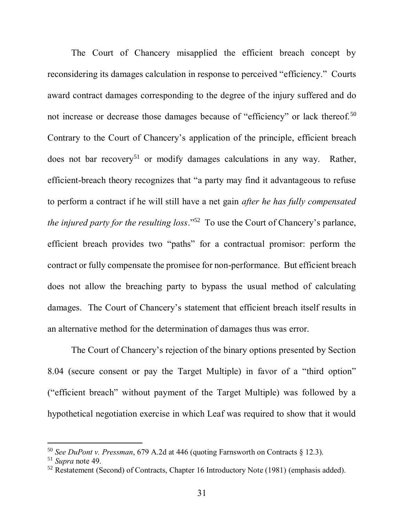The Court of Chancery misapplied the efficient breach concept by reconsidering its damages calculation in response to perceived "efficiency." Courts award contract damages corresponding to the degree of the injury suffered and do not increase or decrease those damages because of "efficiency" or lack thereof.<sup>50</sup> Contrary to the Court of Chancery's application of the principle, efficient breach does not bar recovery<sup>51</sup> or modify damages calculations in any way. Rather, efficient-breach theory recognizes that "a party may find it advantageous to refuse to perform a contract if he will still have a net gain *after he has fully compensated the injured party for the resulting loss*."<sup>52</sup> To use the Court of Chancery's parlance, efficient breach provides two "paths" for a contractual promisor: perform the contract or fully compensate the promisee for non-performance. But efficient breach does not allow the breaching party to bypass the usual method of calculating damages. The Court of Chancery's statement that efficient breach itself results in an alternative method for the determination of damages thus was error.

The Court of Chancery's rejection of the binary options presented by Section 8.04 (secure consent or pay the Target Multiple) in favor of a "third option" ("efficient breach" without payment of the Target Multiple) was followed by a hypothetical negotiation exercise in which Leaf was required to show that it would

l

<sup>50</sup> *See DuPont v. Pressman*, 679 A.2d at 446 (quoting Farnsworth on Contracts § 12.3).

<sup>51</sup> *Supra* note 49.

<sup>&</sup>lt;sup>52</sup> Restatement (Second) of Contracts, Chapter 16 Introductory Note (1981) (emphasis added).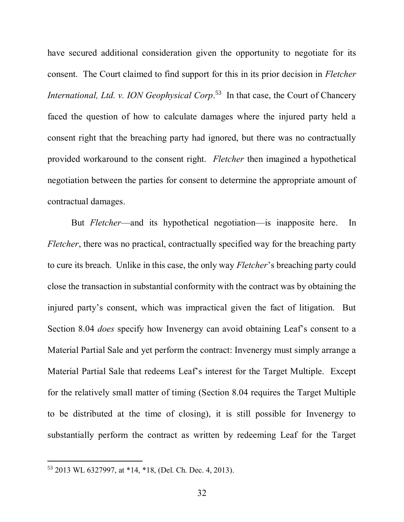have secured additional consideration given the opportunity to negotiate for its consent. The Court claimed to find support for this in its prior decision in *Fletcher International, Ltd. v. ION Geophysical Corp*. <sup>53</sup> In that case, the Court of Chancery faced the question of how to calculate damages where the injured party held a consent right that the breaching party had ignored, but there was no contractually provided workaround to the consent right. *Fletcher* then imagined a hypothetical negotiation between the parties for consent to determine the appropriate amount of contractual damages.

But *Fletcher*—and its hypothetical negotiation—is inapposite here. In *Fletcher*, there was no practical, contractually specified way for the breaching party to cure its breach. Unlike in this case, the only way *Fletcher*'s breaching party could close the transaction in substantial conformity with the contract was by obtaining the injured party's consent, which was impractical given the fact of litigation. But Section 8.04 *does* specify how Invenergy can avoid obtaining Leaf's consent to a Material Partial Sale and yet perform the contract: Invenergy must simply arrange a Material Partial Sale that redeems Leaf's interest for the Target Multiple. Except for the relatively small matter of timing (Section 8.04 requires the Target Multiple to be distributed at the time of closing), it is still possible for Invenergy to substantially perform the contract as written by redeeming Leaf for the Target

<sup>53</sup> 2013 WL 6327997, at \*14, \*18, (Del. Ch. Dec. 4, 2013).